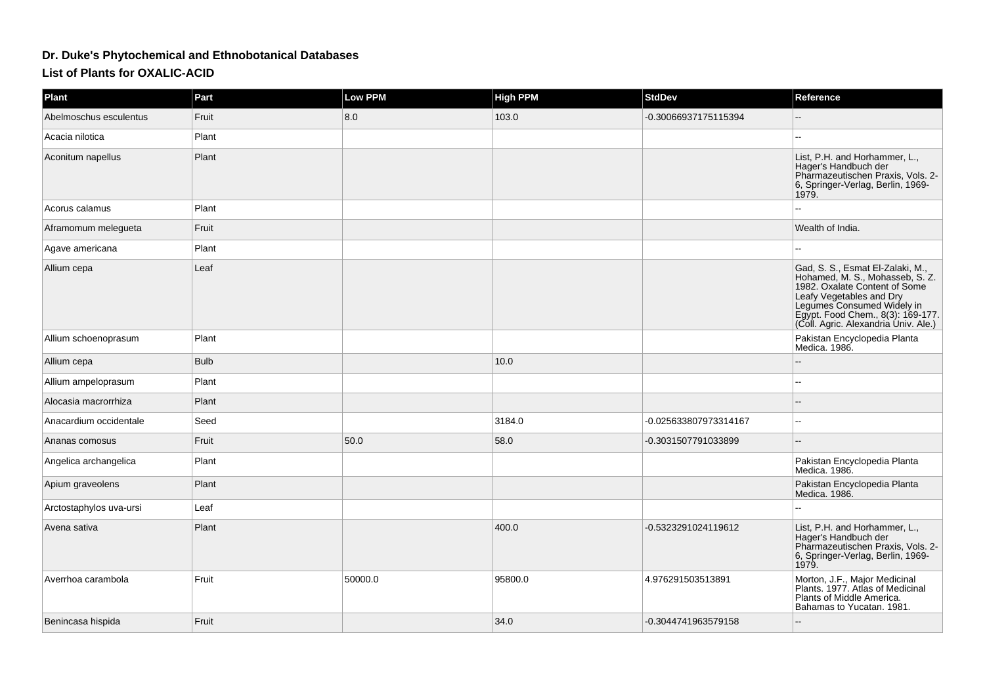## **Dr. Duke's Phytochemical and Ethnobotanical Databases**

**List of Plants for OXALIC-ACID**

| Plant                   | Part        | <b>Low PPM</b> | <b>High PPM</b> | <b>StdDev</b>         | Reference                                                                                                                                                                                                                                                               |
|-------------------------|-------------|----------------|-----------------|-----------------------|-------------------------------------------------------------------------------------------------------------------------------------------------------------------------------------------------------------------------------------------------------------------------|
| Abelmoschus esculentus  | Fruit       | 8.0            | 103.0           | -0.30066937175115394  |                                                                                                                                                                                                                                                                         |
| Acacia nilotica         | Plant       |                |                 |                       | $\sim$ $\sim$                                                                                                                                                                                                                                                           |
| Aconitum napellus       | Plant       |                |                 |                       | List, P.H. and Horhammer, L.,<br>Hager's Handbuch der<br>Pharmazeutischen Praxis, Vols. 2-<br>6, Springer-Verlag, Berlin, 1969-<br>1979.                                                                                                                                |
| Acorus calamus          | Plant       |                |                 |                       | $-$                                                                                                                                                                                                                                                                     |
| Aframomum melegueta     | Fruit       |                |                 |                       | Wealth of India.                                                                                                                                                                                                                                                        |
| Agave americana         | Plant       |                |                 |                       |                                                                                                                                                                                                                                                                         |
| Allium cepa             | Leaf        |                |                 |                       | Gad, S. S., Esmat El-Zalaki, M.,<br>Hohamed, M. S., Mohasseb, S. Z.<br>1982. Oxalate Content of Some<br>Leafy Vegetables and Dry<br>Leafy Vegetables and Dry<br>Legumes Consumed Widely in<br>Egypt. Food Chem., 8(3): 169-177.<br>(Coll. Agric. Alexandria Univ. Ale.) |
| Allium schoenoprasum    | Plant       |                |                 |                       | Pakistan Encyclopedia Planta<br>Medica. 1986.                                                                                                                                                                                                                           |
| Allium cepa             | <b>Bulb</b> |                | 10.0            |                       |                                                                                                                                                                                                                                                                         |
| Allium ampeloprasum     | Plant       |                |                 |                       |                                                                                                                                                                                                                                                                         |
| Alocasia macrorrhiza    | Plant       |                |                 |                       |                                                                                                                                                                                                                                                                         |
| Anacardium occidentale  | Seed        |                | 3184.0          | -0.025633807973314167 | $\overline{a}$                                                                                                                                                                                                                                                          |
| Ananas comosus          | Fruit       | 50.0           | 58.0            | -0.3031507791033899   | $\overline{\phantom{a}}$                                                                                                                                                                                                                                                |
| Angelica archangelica   | Plant       |                |                 |                       | Pakistan Encyclopedia Planta<br>Medica. 1986.                                                                                                                                                                                                                           |
| Apium graveolens        | Plant       |                |                 |                       | Pakistan Encyclopedia Planta<br>Medica. 1986.                                                                                                                                                                                                                           |
| Arctostaphylos uva-ursi | Leaf        |                |                 |                       |                                                                                                                                                                                                                                                                         |
| Avena sativa            | Plant       |                | 400.0           | -0.5323291024119612   | List, P.H. and Horhammer, L.,<br>Hager's Handbuch der<br>Pharmazeutischen Praxis, Vols. 2-<br>6, Springer-Verlag, Berlin, 1969-<br>1979.                                                                                                                                |
| Averrhoa carambola      | Fruit       | 50000.0        | 95800.0         | 4.976291503513891     | Morton, J.F., Major Medicinal<br>Plants. 1977. Atlas of Medicinal<br>Plants of Middle America.<br>Bahamas to Yucatan. 1981.                                                                                                                                             |
| Benincasa hispida       | Fruit       |                | 34.0            | -0.3044741963579158   |                                                                                                                                                                                                                                                                         |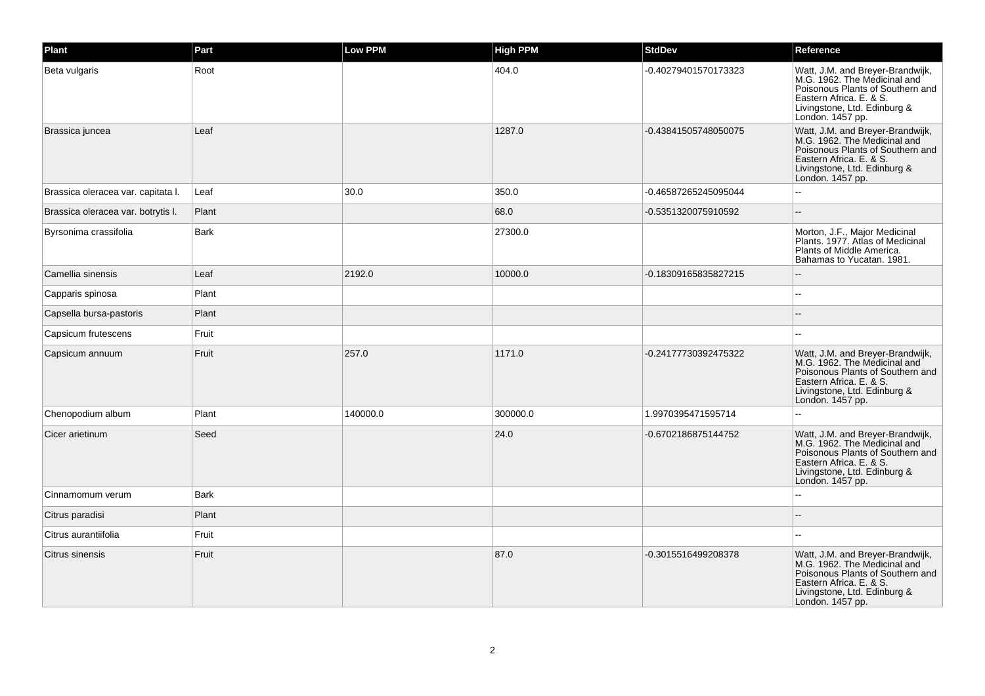| Plant                              | Part        | <b>Low PPM</b> | <b>High PPM</b> | <b>StdDev</b>        | Reference                                                                                                                                                                           |
|------------------------------------|-------------|----------------|-----------------|----------------------|-------------------------------------------------------------------------------------------------------------------------------------------------------------------------------------|
| Beta vulgaris                      | Root        |                | 404.0           | -0.40279401570173323 | Watt, J.M. and Breyer-Brandwijk,<br>M.G. 1962. The Medicinal and<br>Poisonous Plants of Southern and<br>Eastern Africa. E. & S.<br>Livingstone, Ltd. Edinburg &<br>London. 1457 pp. |
| Brassica juncea                    | Leaf        |                | 1287.0          | -0.43841505748050075 | Watt, J.M. and Breyer-Brandwijk,<br>M.G. 1962. The Medicinal and<br>Poisonous Plants of Southern and<br>Eastern Africa, E. & S.<br>Livingstone, Ltd. Edinburg &<br>London. 1457 pp. |
| Brassica oleracea var. capitata I. | Leaf        | 30.0           | 350.0           | -0.46587265245095044 |                                                                                                                                                                                     |
| Brassica oleracea var. botrytis I. | Plant       |                | 68.0            | -0.5351320075910592  |                                                                                                                                                                                     |
| Byrsonima crassifolia              | Bark        |                | 27300.0         |                      | Morton, J.F., Major Medicinal<br>Plants. 1977. Atlas of Medicinal<br>Plants of Middle America.<br>Bahamas to Yucatan. 1981.                                                         |
| Camellia sinensis                  | Leaf        | 2192.0         | 10000.0         | -0.18309165835827215 |                                                                                                                                                                                     |
| Capparis spinosa                   | Plant       |                |                 |                      |                                                                                                                                                                                     |
| Capsella bursa-pastoris            | Plant       |                |                 |                      |                                                                                                                                                                                     |
| Capsicum frutescens                | Fruit       |                |                 |                      |                                                                                                                                                                                     |
| Capsicum annuum                    | Fruit       | 257.0          | 1171.0          | -0.24177730392475322 | Watt, J.M. and Breyer-Brandwijk,<br>M.G. 1962. The Medicinal and<br>Poisonous Plants of Southern and<br>Eastern Africa, E. & S.<br>Livingstone, Ltd. Edinburg &<br>London. 1457 pp. |
| Chenopodium album                  | Plant       | 140000.0       | 300000.0        | 1.9970395471595714   |                                                                                                                                                                                     |
| Cicer arietinum                    | Seed        |                | 24.0            | -0.6702186875144752  | Watt, J.M. and Breyer-Brandwijk, M.G. 1962. The Medicinal and<br>Poisonous Plants of Southern and<br>Eastern Africa. E. & S.<br>Livingstone, Ltd. Edinburg &<br>London. 1457 pp.    |
| Cinnamomum verum                   | <b>Bark</b> |                |                 |                      | --                                                                                                                                                                                  |
| Citrus paradisi                    | Plant       |                |                 |                      |                                                                                                                                                                                     |
| Citrus aurantiifolia               | Fruit       |                |                 |                      |                                                                                                                                                                                     |
| Citrus sinensis                    | Fruit       |                | 87.0            | -0.3015516499208378  | Watt, J.M. and Breyer-Brandwijk,<br>M.G. 1962. The Medicinal and<br>Poisonous Plants of Southern and<br>Eastern Africa. E. & S.<br>Livingstone, Ltd. Edinburg &<br>London. 1457 pp. |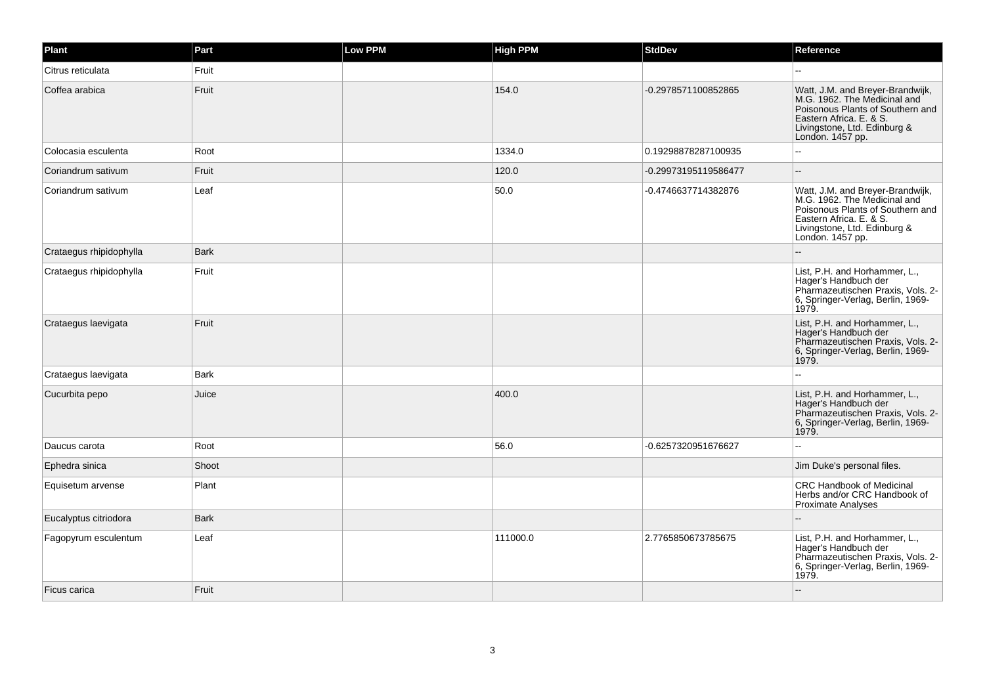| Plant                   | Part        | Low PPM | <b>High PPM</b> | <b>StdDev</b>        | Reference                                                                                                                                                                           |
|-------------------------|-------------|---------|-----------------|----------------------|-------------------------------------------------------------------------------------------------------------------------------------------------------------------------------------|
| Citrus reticulata       | Fruit       |         |                 |                      |                                                                                                                                                                                     |
| Coffea arabica          | Fruit       |         | 154.0           | -0.2978571100852865  | Watt, J.M. and Breyer-Brandwijk,<br>M.G. 1962. The Medicinal and<br>Poisonous Plants of Southern and<br>Eastern Africa, E. & S.<br>Livingstone, Ltd. Edinburg &<br>London. 1457 pp. |
| Colocasia esculenta     | Root        |         | 1334.0          | 0.19298878287100935  |                                                                                                                                                                                     |
| Coriandrum sativum      | Fruit       |         | 120.0           | -0.29973195119586477 | $\sim$                                                                                                                                                                              |
| Coriandrum sativum      | Leaf        |         | 50.0            | -0.4746637714382876  | Watt, J.M. and Breyer-Brandwijk,<br>M.G. 1962. The Medicinal and<br>Poisonous Plants of Southern and<br>Eastern Africa. E. & S.<br>Livingstone, Ltd. Edinburg &<br>London. 1457 pp. |
| Crataegus rhipidophylla | Bark        |         |                 |                      |                                                                                                                                                                                     |
| Crataegus rhipidophylla | Fruit       |         |                 |                      | List, P.H. and Horhammer, L.,<br>Hager's Handbuch der<br>Pharmazeutischen Praxis, Vols. 2-<br>6, Springer-Verlag, Berlin, 1969-<br>1979.                                            |
| Crataegus laevigata     | Fruit       |         |                 |                      | List, P.H. and Horhammer, L.,<br>Hager's Handbuch der<br>Pharmazeutischen Praxis, Vols. 2-<br>6, Springer-Verlag, Berlin, 1969-<br>1979.                                            |
| Crataegus laevigata     | Bark        |         |                 |                      |                                                                                                                                                                                     |
| Cucurbita pepo          | Juice       |         | 400.0           |                      | List, P.H. and Horhammer, L.,<br>Hager's Handbuch der<br>Pharmazeutischen Praxis, Vols. 2-<br>6, Springer-Verlag, Berlin, 1969-<br>1979.                                            |
| Daucus carota           | Root        |         | 56.0            | -0.6257320951676627  |                                                                                                                                                                                     |
| Ephedra sinica          | Shoot       |         |                 |                      | Jim Duke's personal files.                                                                                                                                                          |
| Equisetum arvense       | Plant       |         |                 |                      | <b>CRC Handbook of Medicinal</b><br>Herbs and/or CRC Handbook of<br><b>Proximate Analyses</b>                                                                                       |
| Eucalyptus citriodora   | <b>Bark</b> |         |                 |                      |                                                                                                                                                                                     |
| Fagopyrum esculentum    | Leaf        |         | 111000.0        | 2.7765850673785675   | List, P.H. and Horhammer, L.,<br>Hager's Handbuch der<br>Pharmazeutischen Praxis, Vols. 2-<br>6, Springer-Verlag, Berlin, 1969-<br>1979.                                            |
| Ficus carica            | Fruit       |         |                 |                      |                                                                                                                                                                                     |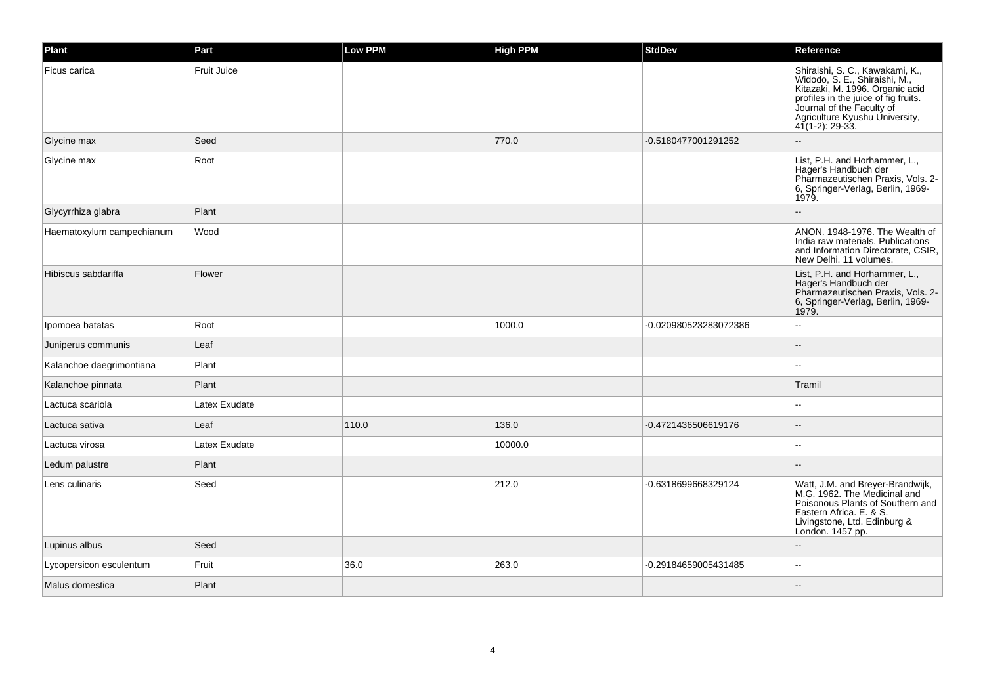| Plant                     | Part               | Low PPM | <b>High PPM</b> | <b>StdDev</b>         | Reference                                                                                                                                                                                                                        |
|---------------------------|--------------------|---------|-----------------|-----------------------|----------------------------------------------------------------------------------------------------------------------------------------------------------------------------------------------------------------------------------|
| Ficus carica              | <b>Fruit Juice</b> |         |                 |                       | Shiraishi, S. C., Kawakami, K.,<br>Widodo, S. E., Shiraishi, M.,<br>Kitazaki, M. 1996. Organic acid<br>profiles in the juice of fig fruits.<br>Journal of the Faculty of<br>Agriculture Kyushu University,<br>$41(1-2)$ : 29-33. |
| Glycine max               | Seed               |         | 770.0           | -0.5180477001291252   |                                                                                                                                                                                                                                  |
| Glycine max               | Root               |         |                 |                       | List, P.H. and Horhammer, L.,<br>Hager's Handbuch der<br>Pharmazeutischen Praxis, Vols. 2-<br>6, Springer-Verlag, Berlin, 1969-<br>1979.                                                                                         |
| Glycyrrhiza glabra        | Plant              |         |                 |                       |                                                                                                                                                                                                                                  |
| Haematoxylum campechianum | Wood               |         |                 |                       | ANON. 1948-1976. The Wealth of<br>India raw materials. Publications<br>and Information Directorate, CSIR,<br>New Delhi, 11 volumes.                                                                                              |
| Hibiscus sabdariffa       | Flower             |         |                 |                       | List, P.H. and Horhammer, L.,<br>Hager's Handbuch der<br>Pharmazeutischen Praxis, Vols. 2-<br>6, Springer-Verlag, Berlin, 1969-<br>1979.                                                                                         |
| Ipomoea batatas           | Root               |         | 1000.0          | -0.020980523283072386 | --                                                                                                                                                                                                                               |
| Juniperus communis        | Leaf               |         |                 |                       |                                                                                                                                                                                                                                  |
| Kalanchoe daegrimontiana  | Plant              |         |                 |                       |                                                                                                                                                                                                                                  |
| Kalanchoe pinnata         | Plant              |         |                 |                       | Tramil                                                                                                                                                                                                                           |
| Lactuca scariola          | Latex Exudate      |         |                 |                       |                                                                                                                                                                                                                                  |
| Lactuca sativa            | Leaf               | 110.0   | 136.0           | -0.4721436506619176   |                                                                                                                                                                                                                                  |
| Lactuca virosa            | Latex Exudate      |         | 10000.0         |                       |                                                                                                                                                                                                                                  |
| Ledum palustre            | Plant              |         |                 |                       |                                                                                                                                                                                                                                  |
| Lens culinaris            | Seed               |         | 212.0           | -0.6318699668329124   | Watt, J.M. and Breyer-Brandwijk,<br>M.G. 1962. The Medicinal and<br>Poisonous Plants of Southern and<br>Eastern Africa. E. & S.<br>Livingstone, Ltd. Edinburg &<br>London. 1457 pp.                                              |
| Lupinus albus             | Seed               |         |                 |                       |                                                                                                                                                                                                                                  |
| Lycopersicon esculentum   | Fruit              | 36.0    | 263.0           | -0.29184659005431485  | --                                                                                                                                                                                                                               |
| Malus domestica           | Plant              |         |                 |                       |                                                                                                                                                                                                                                  |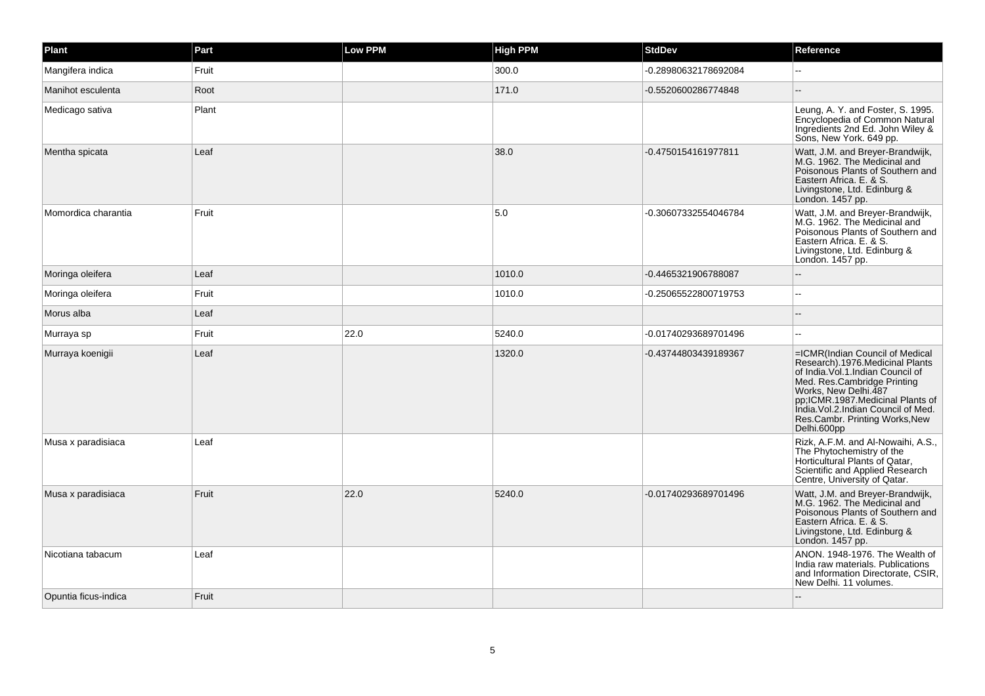| Plant                | Part  | Low PPM | <b>High PPM</b> | <b>StdDev</b>        | Reference                                                                                                                                                                                                                                                                                     |
|----------------------|-------|---------|-----------------|----------------------|-----------------------------------------------------------------------------------------------------------------------------------------------------------------------------------------------------------------------------------------------------------------------------------------------|
| Mangifera indica     | Fruit |         | 300.0           | -0.28980632178692084 |                                                                                                                                                                                                                                                                                               |
| Manihot esculenta    | Root  |         | 171.0           | -0.5520600286774848  |                                                                                                                                                                                                                                                                                               |
| Medicago sativa      | Plant |         |                 |                      | Leung, A. Y. and Foster, S. 1995.<br>Encyclopedia of Common Natural<br>Ingredients 2nd Ed. John Wiley &<br>Sons, New York. 649 pp.                                                                                                                                                            |
| Mentha spicata       | Leaf  |         | 38.0            | -0.4750154161977811  | Watt, J.M. and Breyer-Brandwijk, M.G. 1962. The Medicinal and<br>Poisonous Plants of Southern and<br>Eastern Africa, E. & S.<br>Livingstone, Ltd. Edinburg &<br>London. 1457 pp.                                                                                                              |
| Momordica charantia  | Fruit |         | 5.0             | -0.30607332554046784 | Watt, J.M. and Breyer-Brandwijk,<br>M.G. 1962. The Medicinal and<br>Poisonous Plants of Southern and<br>Eastern Africa, E. & S.<br>Livingstone, Ltd. Edinburg &<br>London. 1457 pp.                                                                                                           |
| Moringa oleifera     | Leaf  |         | 1010.0          | -0.4465321906788087  |                                                                                                                                                                                                                                                                                               |
| Moringa oleifera     | Fruit |         | 1010.0          | -0.25065522800719753 |                                                                                                                                                                                                                                                                                               |
| Morus alba           | Leaf  |         |                 |                      |                                                                                                                                                                                                                                                                                               |
| Murraya sp           | Fruit | 22.0    | 5240.0          | -0.01740293689701496 | $\overline{a}$                                                                                                                                                                                                                                                                                |
| Murraya koenigii     | Leaf  |         | 1320.0          | -0.43744803439189367 | =ICMR(Indian Council of Medical<br>Research).1976.Medicinal Plants<br>of India. Vol. 1. Indian Council of<br>Med. Res.Cambridge Printing<br>Works, New Delhi.487<br>pp,ICMR.1987.Medicinal Plants of<br>India. Vol.2. Indian Council of Med.<br>Res.Cambr. Printing Works, New<br>Delhi.600pp |
| Musa x paradisiaca   | Leaf  |         |                 |                      | Rizk, A.F.M. and Al-Nowaihi, A.S.,<br>The Phytochemistry of the<br>Horticultural Plants of Qatar,<br>Scientific and Applied Research<br>Centre, University of Qatar.                                                                                                                          |
| Musa x paradisiaca   | Fruit | 22.0    | 5240.0          | -0.01740293689701496 | Watt, J.M. and Breyer-Brandwijk, M.G. 1962. The Medicinal and<br>Poisonous Plants of Southern and<br>Eastern Africa, E. & S.<br>Livingstone, Ltd. Edinburg &<br>London. 1457 pp.                                                                                                              |
| Nicotiana tabacum    | Leaf  |         |                 |                      | ANON. 1948-1976. The Wealth of<br>India raw materials. Publications<br>and Information Directorate, CSIR,<br>New Delhi. 11 volumes.                                                                                                                                                           |
| Opuntia ficus-indica | Fruit |         |                 |                      |                                                                                                                                                                                                                                                                                               |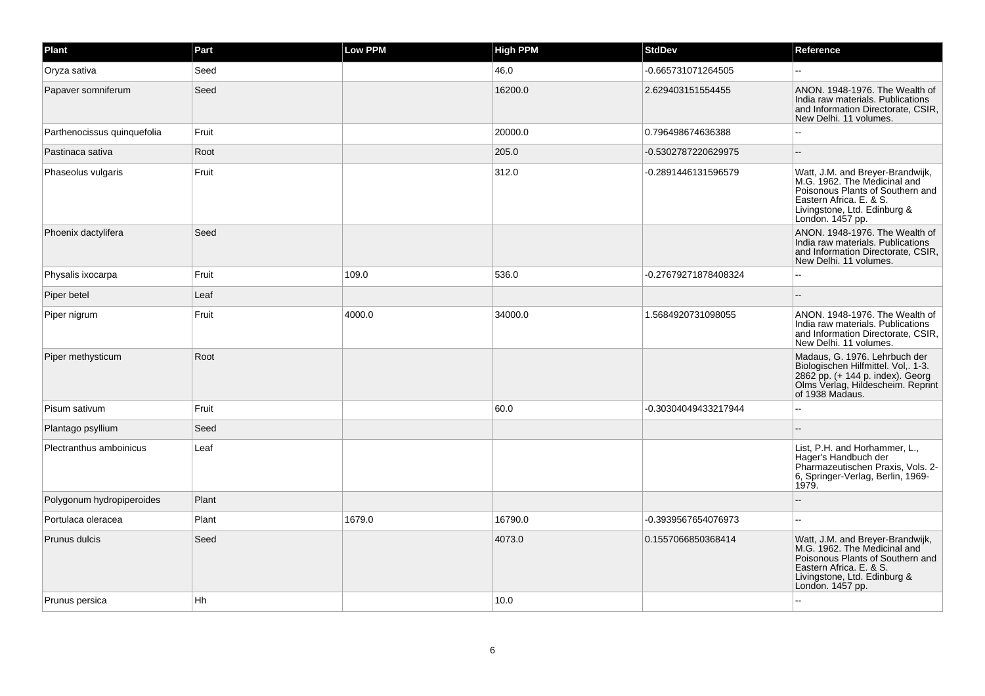| Plant                       | Part  | Low PPM | <b>High PPM</b> | <b>StdDev</b>        | Reference                                                                                                                                                                        |
|-----------------------------|-------|---------|-----------------|----------------------|----------------------------------------------------------------------------------------------------------------------------------------------------------------------------------|
| Oryza sativa                | Seed  |         | 46.0            | -0.665731071264505   |                                                                                                                                                                                  |
| Papaver somniferum          | Seed  |         | 16200.0         | 2.629403151554455    | ANON, 1948-1976. The Wealth of<br>India raw materials. Publications<br>and Information Directorate, CSIR,<br>New Delhi. 11 volumes.                                              |
| Parthenocissus quinquefolia | Fruit |         | 20000.0         | 0.796498674636388    | $-$                                                                                                                                                                              |
| Pastinaca sativa            | Root  |         | 205.0           | -0.5302787220629975  |                                                                                                                                                                                  |
| Phaseolus vulgaris          | Fruit |         | 312.0           | -0.2891446131596579  | Watt, J.M. and Breyer-Brandwijk, M.G. 1962. The Medicinal and<br>Poisonous Plants of Southern and<br>Eastern Africa. E. & S.<br>Livingstone, Ltd. Edinburg &<br>London. 1457 pp. |
| Phoenix dactylifera         | Seed  |         |                 |                      | ANON. 1948-1976. The Wealth of<br>India raw materials. Publications<br>and Information Directorate, CSIR,<br>New Delhi. 11 volumes.                                              |
| Physalis ixocarpa           | Fruit | 109.0   | 536.0           | -0.27679271878408324 |                                                                                                                                                                                  |
| Piper betel                 | Leaf  |         |                 |                      |                                                                                                                                                                                  |
| Piper nigrum                | Fruit | 4000.0  | 34000.0         | 1.5684920731098055   | ANON. 1948-1976. The Wealth of<br>India raw materials. Publications<br>and Information Directorate, CSIR,<br>New Delhi. 11 volumes.                                              |
| Piper methysticum           | Root  |         |                 |                      | Madaus, G. 1976. Lehrbuch der<br>Biologischen Hilfmittel. Vol., 1-3.<br>2862 pp. (+ 144 p. index). Georg<br>Olms Verlag, Hildescheim. Reprint<br>of 1938 Madaus.                 |
| Pisum sativum               | Fruit |         | 60.0            | -0.30304049433217944 |                                                                                                                                                                                  |
| Plantago psyllium           | Seed  |         |                 |                      |                                                                                                                                                                                  |
| Plectranthus amboinicus     | Leaf  |         |                 |                      | List, P.H. and Horhammer, L.,<br>Hager's Handbuch der<br>Pharmazeutischen Praxis, Vols. 2-<br>6, Springer-Verlag, Berlin, 1969-<br>1979.                                         |
| Polygonum hydropiperoides   | Plant |         |                 |                      |                                                                                                                                                                                  |
| Portulaca oleracea          | Plant | 1679.0  | 16790.0         | -0.3939567654076973  |                                                                                                                                                                                  |
| Prunus dulcis               | Seed  |         | 4073.0          | 0.1557066850368414   | Watt, J.M. and Breyer-Brandwijk, M.G. 1962. The Medicinal and<br>Poisonous Plants of Southern and<br>Eastern Africa. E. & S.<br>Livingstone, Ltd. Edinburg &<br>London. 1457 pp. |
| Prunus persica              | Hh    |         | 10.0            |                      |                                                                                                                                                                                  |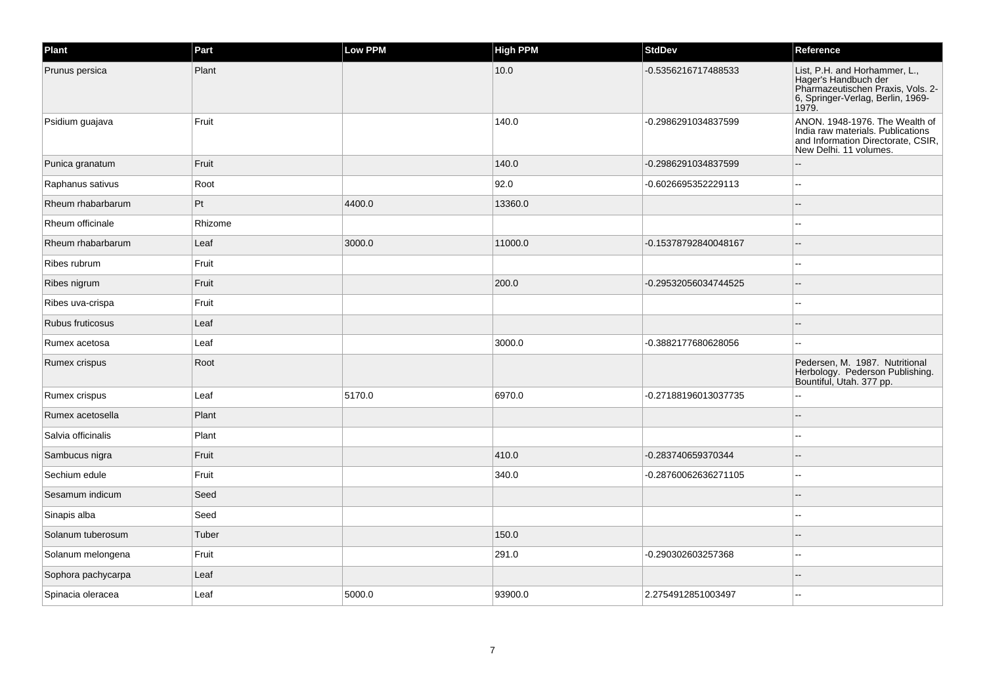| Plant              | Part    | Low PPM | <b>High PPM</b> | <b>StdDev</b>        | Reference                                                                                                                                |
|--------------------|---------|---------|-----------------|----------------------|------------------------------------------------------------------------------------------------------------------------------------------|
| Prunus persica     | Plant   |         | 10.0            | -0.5356216717488533  | List, P.H. and Horhammer, L.,<br>Hager's Handbuch der<br>Pharmazeutischen Praxis, Vols. 2-<br>6, Springer-Verlag, Berlin, 1969-<br>1979. |
| Psidium guajava    | Fruit   |         | 140.0           | -0.2986291034837599  | ANON. 1948-1976. The Wealth of<br>India raw materials. Publications<br>and Information Directorate, CSIR,<br>New Delhi. 11 volumes.      |
| Punica granatum    | Fruit   |         | 140.0           | -0.2986291034837599  |                                                                                                                                          |
| Raphanus sativus   | Root    |         | 92.0            | -0.6026695352229113  | ٠.                                                                                                                                       |
| Rheum rhabarbarum  | Pt      | 4400.0  | 13360.0         |                      |                                                                                                                                          |
| Rheum officinale   | Rhizome |         |                 |                      | ц.                                                                                                                                       |
| Rheum rhabarbarum  | Leaf    | 3000.0  | 11000.0         | -0.15378792840048167 |                                                                                                                                          |
| Ribes rubrum       | Fruit   |         |                 |                      |                                                                                                                                          |
| Ribes nigrum       | Fruit   |         | 200.0           | -0.29532056034744525 |                                                                                                                                          |
| Ribes uva-crispa   | Fruit   |         |                 |                      |                                                                                                                                          |
| Rubus fruticosus   | Leaf    |         |                 |                      |                                                                                                                                          |
| Rumex acetosa      | Leaf    |         | 3000.0          | -0.3882177680628056  | --                                                                                                                                       |
| Rumex crispus      | Root    |         |                 |                      | Pedersen, M. 1987. Nutritional<br>Herbology. Pederson Publishing.<br>Bountiful, Utah. 377 pp.                                            |
| Rumex crispus      | Leaf    | 5170.0  | 6970.0          | -0.27188196013037735 |                                                                                                                                          |
| Rumex acetosella   | Plant   |         |                 |                      |                                                                                                                                          |
| Salvia officinalis | Plant   |         |                 |                      | --                                                                                                                                       |
| Sambucus nigra     | Fruit   |         | 410.0           | -0.283740659370344   |                                                                                                                                          |
| Sechium edule      | Fruit   |         | 340.0           | -0.28760062636271105 | --                                                                                                                                       |
| Sesamum indicum    | Seed    |         |                 |                      | --                                                                                                                                       |
| Sinapis alba       | Seed    |         |                 |                      |                                                                                                                                          |
| Solanum tuberosum  | Tuber   |         | 150.0           |                      |                                                                                                                                          |
| Solanum melongena  | Fruit   |         | 291.0           | -0.290302603257368   |                                                                                                                                          |
| Sophora pachycarpa | Leaf    |         |                 |                      |                                                                                                                                          |
| Spinacia oleracea  | Leaf    | 5000.0  | 93900.0         | 2.2754912851003497   |                                                                                                                                          |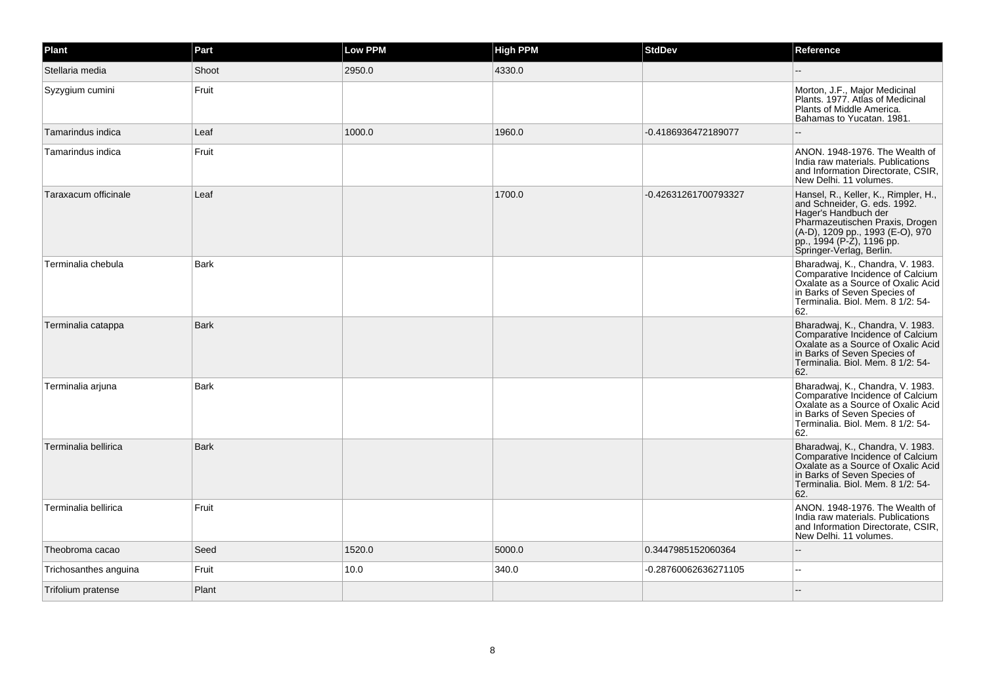| Plant                 | Part        | <b>Low PPM</b> | <b>High PPM</b> | <b>StdDev</b>        | Reference                                                                                                                                                                                                                    |
|-----------------------|-------------|----------------|-----------------|----------------------|------------------------------------------------------------------------------------------------------------------------------------------------------------------------------------------------------------------------------|
| Stellaria media       | Shoot       | 2950.0         | 4330.0          |                      |                                                                                                                                                                                                                              |
| Syzygium cumini       | Fruit       |                |                 |                      | Morton, J.F., Major Medicinal<br>Plants. 1977. Atlas of Medicinal<br>Plants of Middle America.<br>Bahamas to Yucatan. 1981.                                                                                                  |
| Tamarindus indica     | Leaf        | 1000.0         | 1960.0          | -0.4186936472189077  |                                                                                                                                                                                                                              |
| Tamarindus indica     | Fruit       |                |                 |                      | ANON. 1948-1976. The Wealth of<br>India raw materials. Publications<br>and Information Directorate, CSIR,<br>New Delhi. 11 volumes.                                                                                          |
| Taraxacum officinale  | Leaf        |                | 1700.0          | -0.42631261700793327 | Hansel, R., Keller, K., Rimpler, H.,<br>and Schneider, G. eds. 1992.<br>Hager's Handbuch der<br>Pharmazeutischen Praxis, Drogen<br>(A-D), 1209 pp., 1993 (E-O), 970<br>pp., 1994 (P-2), 1196 pp.<br>Springer-Verlag, Berlin. |
| Terminalia chebula    | Bark        |                |                 |                      | Bharadwaj, K., Chandra, V. 1983.<br>Comparative Incidence of Calcium<br>Oxalate as a Source of Oxalic Acid<br>in Barks of Seven Species of<br>Terminalia. Biol. Mem. 8 1/2: 54-<br>62.                                       |
| Terminalia catappa    | <b>Bark</b> |                |                 |                      | Bharadwaj, K., Chandra, V. 1983.<br>Comparative Incidence of Calcium<br>Oxalate as a Source of Oxalic Acid<br>in Barks of Seven Species of<br>Terminalia. Biol. Mem. 8 1/2: 54-<br>62.                                       |
| Terminalia arjuna     | <b>Bark</b> |                |                 |                      | Bharadwaj, K., Chandra, V. 1983.<br>Comparative Incidence of Calcium<br>Oxalate as a Source of Oxalic Acid<br>in Barks of Seven Species of<br>Terminalia. Biol. Mem. 8 1/2: 54-<br>62.                                       |
| Terminalia bellirica  | <b>Bark</b> |                |                 |                      | Bharadwaj, K., Chandra, V. 1983.<br>Comparative Incidence of Calcium<br>Oxalate as a Source of Oxalic Acid<br>in Barks of Seven Species of<br>Terminalia, Biol, Mem. 8 1/2: 54-<br>62.                                       |
| Terminalia bellirica  | Fruit       |                |                 |                      | ANON. 1948-1976. The Wealth of<br>India raw materials. Publications<br>and Information Directorate, CSIR,<br>New Delhi. 11 volumes.                                                                                          |
| Theobroma cacao       | Seed        | 1520.0         | 5000.0          | 0.3447985152060364   |                                                                                                                                                                                                                              |
| Trichosanthes anguina | Fruit       | 10.0           | 340.0           | -0.28760062636271105 | $\sim$                                                                                                                                                                                                                       |
| Trifolium pratense    | Plant       |                |                 |                      |                                                                                                                                                                                                                              |